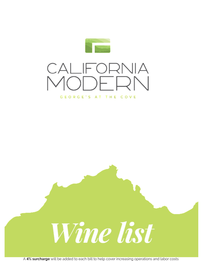





A **4% surcharge** will be added to each bill to help cover increasing operations and labor costs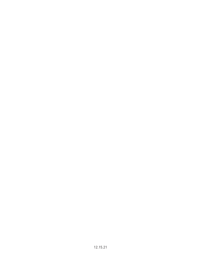12.15.21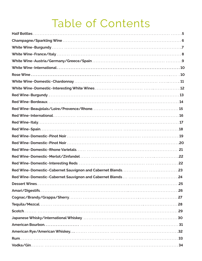# Table of Contents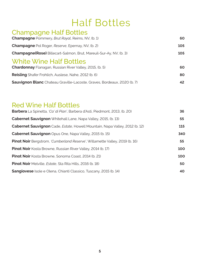## Half Bottles

#### Champagne Half Bottles **Champagne** Pommery, *Brut Royal*, Reims, NV, (b. 1) **60 Champagne** Pol Roger, *Reserve*, Epernay, NV, (b. 2) 105 **Champagne(Rose)** Billecart-Salmon, Brut, Mareuil-Sur-Ay, NV, (b. 3) **105** White Wine Half Bottles **Chardonnay** Flanagan, Russian River Valley, 2015, (b. 5) **60 Reisling** Shafer Frohlich, Auslese, Nahe, 2012 (b. 6) **80 Sauvignon Blanc** Chateau Graville-Lacoste, Graves, Bordeaux, 2020 (b. 7) **42**

### Red Wine Half Bottles

| <b>Barbera</b> La Spinetta, 'Ca' di Pian', Barbera d'Asti, Piedmont, 2013, (b. 20)         | 36  |
|--------------------------------------------------------------------------------------------|-----|
| <b>Cabernet Sauvignon</b> Whitehall Lane, Napa Valley, 2015, (b. 13)                       | 55  |
| <b>Cabernet Sauvignon</b> Cade, <i>Estate</i> , Howell Mountain, Napa Valley, 2012 (b. 12) | 115 |
| Cabernet Sauvignon Opus One, Napa Valley, 2015 (b. 15)                                     | 340 |
| <b>Pinot Noir</b> Bergstrom, 'Cumberland Reserve', Willamette Valley, 2019 (b. 16)         | 55  |
| <b>Pinot Noir</b> Kosta Browne, Russian River Valley, 2014 (b. 17)                         | 100 |
| <b>Pinot Noir</b> Kosta Browne, Sonoma Coast, 2014 (b. 21)                                 | 100 |
| <b>Pinot Noir</b> Melville, <i>Estate</i> , Sta Rita Hills, 2016 (b. 18)                   | 50  |
| <b>Sangiovese</b> Isole e Olena, Chianti Classico, Tuscany, 2015 (b. 14)                   | 40  |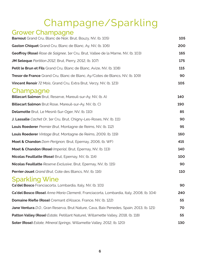# Champagne/Sparkling

## Grower Champagne

| <b>Barnout</b> Grand Cru, Blanc de Noir, Brut, Bouzy, NV, (b. 105)                      | 105 |
|-----------------------------------------------------------------------------------------|-----|
| Gaston Chiquet Grand Cru, Blanc de Blanc, Ay, NV, (b. 106)                              | 200 |
| Geoffroy (Rose) Rose de Saignee, 1er Cru, Brut, Vallee de la Marne, NV, (b. 103)        | 165 |
| JM Seleque Partition 2012, Brut, Pierry, 2012, (b. 107)                                 | 175 |
| Petit le Brun et Fils Grand Cru, Blanc de Blanc, Avize, NV, (b. 108)                    | 115 |
| <b>Tresor de France</b> Grand Cru, Blanc de Blanc, Ay/Cotes de Blancs, NV, (b. 109)     | 90  |
| Vincent Renoir 72 Mois, Grand Cru, Extra Brut, Verzy, NV, (b. 123)                      | 105 |
| Champagne<br>Billecart Salmon Brut, Reserve, Mareuil-sur-Ay, NV, (b. A)                 | 140 |
| Billecart Salmon Brut Rose, Mareuil-sur-Ay, NV, (b. C)                                  | 190 |
| Delamotte Brut, Le Mesnil-Sur-Oger, NV, (b. 110)                                        | 85  |
| J. Lassalle Cachet Or, 1er Cru, Brut, Chigny-Les-Roses, NV, (b. 111)                    | 90  |
| Louis Roederer Premier Brut, Montagne de Reims, NV, (b. 112)                            | 95  |
| Louis Roederer Vintage Brut, Montagne de Reims, 2009, (b. 119)                          | 160 |
| Moet & Chandon Dom Perignon, Brut, Epernay, 2006, (b. WF)                               | 415 |
| Moet & Chandon (Rose) Imperial, Brut, Epernay, NV, (b. 113)                             | 140 |
| Nicolas Feuillatte (Rose) Brut, Epernay, NV, (b. 114)                                   | 100 |
| <b>Nicolas Feuillatte</b> Reserve Exclusive, Brut, Epernay, NV, (b. 115)                | 90  |
| <b>Perrier-Jouet</b> Grand Brut, Cote des Blancs, NV, (b. 116)                          | 110 |
| <b>Sparkling Wine</b><br>Ca'del Bosco Franciacorta, Lombardia, Italy, NV, (b. 101)      | 90  |
| Ca'del Bosco (Rose) Anna Maria Clementi, Franciacorta, Lombardia, Italy, 2008, (b. 104) | 240 |
| <b>Domaine Riefle (Rose)</b> Cremant d'Alsace, France, NV, (b. 122)                     | 55  |
| Jane Ventura D.O., Gran Reserva, Brut Nature, Cava, Baix Penedes, Spain, 2013, (b. 121) | 70  |
| Patton Valley (Rose) Estate, Petillant Naturel, Willamette Valley, 2018, (b. 118)       | 55  |
| Soter (Rose) Estate, Mineral Springs, Willamette Valley, 2012, (b. 120)                 | 130 |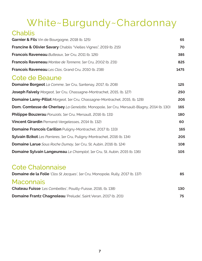# White~Burgundy~Chardonnay

#### Chablis **Garnier & Fils** Vin de Bourgogne, 2018 (b. 125) **65 Francine & Olivier Savary** Chablis "Vielles Vignes", 2019 (b. 215) **70 Francois Raveneau** *Butteaux*, 1er Cru, 2011 (b. 126) **385 Francois Raveneau** *Montee de Tonnerre*, 1er Cru, 2002 (b. 231) **825 Francois Raveneau** *Les Clos*, Grand Cru, 2010 (b. 238) **1475** Cote de Beaune **Domaine Borgeot** *La Comme*, 1er Cru, Santenay, 2017, (b. 208) **125 Joseph Faively** *Morgeot*, 1er Cru, Chassagne-Montrachet, 2015, (b. 127) **250 Domaine Lamy-Pillot** *Morgeot*, 1er Cru, Chassagne-Montrachet, 2015, (b. 128) **205 Dom. Comtesse de Cherisey** *La Genelotte*, Monopole, 1er Cru, Mersault-Blagny, 2014 (b. 130) **165 Philippe Bouzerau** *Poruzots*, 1er Cru, Mersault, 2016 (b. 131) **180 Vincent Girardin** Pernand-Vergelesses, 2014 (b. 132) **60 Domaine Francois Carillon** Puligny-Montrachet, 2017 (b. 133) **165 Sylvain Bzikot** *Les Parrieres*, 1er Cru, Puligny-Montrachet, 2016 (b. 134) **205 Domaine Larue** *Sous Roche Dumay*, 1er Cru, St. Aubin, 2016 (b. 124) **108 Domaine Sylvain Langeureau** *Le Champlot*, 1er Cru, St. Aubin, 2015 (b. 136) **105**

### Cote Chalonnaise

| <b>Domaine de la Folie</b> 'Clos St Jacques', 1er Cru, Monopole, Rully, 2017 (b. 137) | 85  |
|---------------------------------------------------------------------------------------|-----|
| <b>Maconnais</b>                                                                      |     |
| <b>Chateau Fuisse</b> 'Les Combettes', Pouilly-Fuisse, 2016, (b. 138)                 | 130 |
| <b>Domaine Frantz Chagnoleau</b> 'Prelude', Saint Veran, 2017 (b. 201)                | 75. |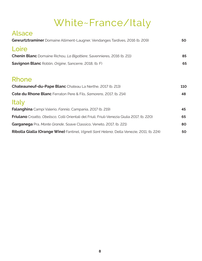# White~France/Italy

| <b>Alsace</b><br>Gewurtztraminer Domaine Alliment-Laugner, Vendanges Tardives, 2016 (b. 209)        | 50  |
|-----------------------------------------------------------------------------------------------------|-----|
| Loire                                                                                               |     |
| <b>Chenin Blanc</b> Domaine Richou, La Bigottiere, Savennieres, 2016 (b. 211)                       | 85  |
| <b>Savignon Blanc</b> Roblin, <i>Origine</i> , Sancerre, 2018, (b. F)                               | 65  |
| Rhone                                                                                               |     |
| Chateauneuf-du-Pape Blanc Chateau La Nerthe, 2017 (b. 213)                                          | 110 |
| <b>Cote du Rhone Blanc</b> Ferraton Pere & Fils, Samorens, 2017, (b. 214)                           | 48  |
| <b>Italy</b>                                                                                        |     |
| <b>Falanghina</b> Campi Valerio, Fannia, Campania, 2017 (b. 219)                                    | 45  |
| <b>Friulano</b> Croatto, Obelisco, Colli Orientali del Friuli, Friuli-Venezia Giulia 2017, (b. 220) | 65  |
| Garganega Pra, Monte Grande, Soave Classico, Veneto, 2017, (b. 221)                                 | 80  |
| Ribolla Gialla (Orange Wine) Fantinel, Vigneti Sant Helena, Della Venezie, 2011, (b. 224)           | 50  |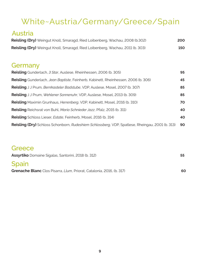## White~Austria/Germany/Greece/Spain

### Austria

| <b>Reisling (Dry)</b> Weingut Knoll, Smaragd, Ried Loibenberg, Wachau, 2008 (b.302) | 200 |
|-------------------------------------------------------------------------------------|-----|
| Reisling (Dry) Weingut Knoll, Smaragd, Ried Loibenberg, Wachau, 2011 (b. 303)       | 150 |

### Germany

| <b>Reisling</b> Gunderlach, 3 Star, Auslese, Rheinhessen, 2006 (b. 305)                                | 95 |
|--------------------------------------------------------------------------------------------------------|----|
| <b>Reisling</b> Gunderlach, Jean Baptiste, Feinherb, Kabinett, Rheinhessen, 2006 (b. 306)              | 45 |
| <b>Reisling</b> J J Prum, Bernkasteler Badstube, VDP, Auslese, Mosel, 2007 (b. 307)                    | 85 |
| <b>Reisling</b> J J Prum, Wehlener Sonnenuhr, VDP, Auslese, Mosel, 2013 (b. 309)                       | 85 |
| <b>Reisling</b> Maximin Grunhaus, Herrenberg, VDP, Kabinett, Mosel, 2016 (b. 310)                      | 70 |
| <b>Reisling</b> Reichsrat von Buhl, Maria Schnieder Jazz, Pfalz, 2015 (b. 311)                         | 40 |
| <b>Reisling</b> Schloss Lieser, <i>Estate</i> , Feinherb, Mosel, 2016 (b. 314)                         | 40 |
| <b>Reisling (Dry)</b> Schloss Schonborn, Rudeshiem Schlossberg, VDP, Spatlese, Rheingau, 2001 (b. 313) | 90 |

#### **Greece**

| <b>Assyrtiko</b> Domaine Sigalas, Santorini, 2018 (b. 312)            | 55 |
|-----------------------------------------------------------------------|----|
| Spain                                                                 |    |
| Grenache Blanc Clos Pisarra, Llum, Priorat, Catalonia, 2016, (b. 317) | 60 |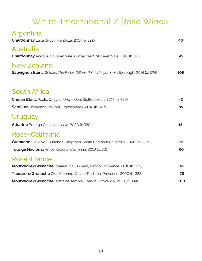## White~International / Rose Wines

| Argentina                                                                             |     |
|---------------------------------------------------------------------------------------|-----|
| Chardonnay Luca, G-Lot, Mendoza, 2017 (b. 322)                                        | 40  |
| Australia                                                                             |     |
| Chardonnay Angove McLaren Vale, Family Crest, McLaren Vale, 2017 (b. 323)             | 45  |
| <b>New Zealand</b>                                                                    |     |
| Sauvignon Blanc Geisen, The Fuder, Dillons Point Vineyard, Marlborough, 2014 (b. 324) | 105 |
|                                                                                       |     |
| <b>South Africa</b>                                                                   |     |
| <b>Chenin Blanc</b> Raats, Original, Unwooded, Stellenbosch, 2018 (b. 326)            | 40  |
| <b>Semillon</b> Boekenhoutskloof, Franschhoek, 2012 (b. 327)                          | 85  |
| Uruguay                                                                               |     |
| Albarino Bodega Garzon, reserve, 2020 (b.330)                                         | 48  |
| Rose~California                                                                       |     |
| Grenache "Love you Bunches", Stolpman, Santa Barabara California, 2020 (b. 332)       | 56  |
| Touriga Nacional Arnot-Roberts, California, 2019 (b. 331)                             | 60  |
| Rose~France                                                                           |     |
| Mourvedre/Grenache Chateau Val D'Arenc, Bandol, Provence, 2018 (b. 335)               | 65  |
| Tibouren/Grenache Clos Cibonne, Cuvee Tradition, Provence, 2020 (b. 333)              | 75  |
| Mourvedre/Grenache Domaine Tempier, Bandol, Provence, 2018 (b. 334)                   | 100 |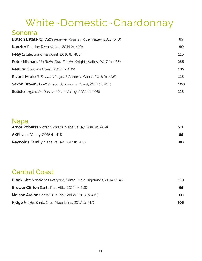## White~Domestic~Chardonnay

#### Sonoma

| <b>Dutton Estate</b> Kyndall's Reserve, Russian River Valley, 2018 (b. D)  | 65  |
|----------------------------------------------------------------------------|-----|
| <b>Kanzler</b> Russian River Valley, 2014 (b. 410)                         | 90  |
| Peay Estate, Sonoma Coast, 2016 (b. 403)                                   | 115 |
| <b>Peter Michael</b> Ma Belle-Fille, Estate, Knights Valley, 2017 (b. 435) | 255 |
| <b>Reuling</b> Sonoma Coast, 2013 (b. 405)                                 | 135 |
| <b>Rivers-Marie</b> B. Thierot Vineyard, Sonoma Coast, 2016 (b. 406)       | 115 |
| <b>Saxon Brown</b> Durell Vineyard, Sonoma Coast, 2013 (b. 407)            | 100 |
| <b>Soliste</b> L'Age d'Or, Russian River Valley, 2012 (b. 408)             | 115 |

#### Napa

| <b>Arnot Roberts</b> Watson Ranch, Napa Valley, 2018 (b. 409) | 90. |
|---------------------------------------------------------------|-----|
| $AXR$ Napa Valley, 2015 (b. 411)                              | 85. |
| <b>Reynolds Family</b> Napa Valley, 2017 (b. 413)             | 80  |

### Central Coast

| <b>Black Kite</b> Soberanes Vineyard, Santa Lucia Highlands, 2014 (b. 418) | <b>110</b> |
|----------------------------------------------------------------------------|------------|
| <b>Brewer Clifton</b> Santa Rita Hills, 2015 (b. 419)                      | 65         |
| <b>Maison Areion</b> Santa Cruz Mountains, 2018 (b. 416)                   | 60         |
| <b>Ridge</b> Estate, Santa Cruz Mountains, 2017 (b. 417)                   | 105        |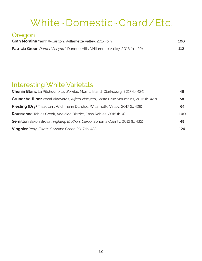## White~Domestic~Chard/Etc.

#### Oregon

| Gran Moraine Yamhill-Carlton, Willamette Valley, 2017 (b. Y)                          | 100 |
|---------------------------------------------------------------------------------------|-----|
| <b>Patricia Green</b> Durant Vineyard, Dundee Hills, Willamette Valley, 2016 (b. 422) | 112 |

### Interesting White Varietals

| 48. |
|-----|
| 58  |
| 64  |
| 100 |
| 48  |
| 124 |
|     |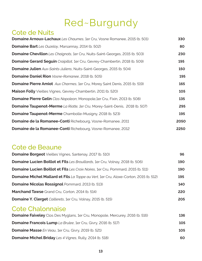# Red~Burgundy

### Cote de Nuits

| <b>Domaine Arnoux-Lachaux</b> Les Chaumes, 1er Cru, Vosne Romanee, 2015 (b. 501)    | 330  |
|-------------------------------------------------------------------------------------|------|
| <b>Domaine Bart</b> Les Ouzeloy, Marsannay, 2014 (b. 502)                           | 80   |
| <b>Domaine Chevillon</b> Les Chaignots, 1er Cru, Nuits-Saint-Georges, 2015 (b. 503) | 230  |
| <b>Domaine Gerard Seguin</b> Craipillot, 1er Cru, Gevrey-Chambertin, 2018 (b. 509)  | 195  |
| <b>Domaine Julien</b> Aux-Saints-Juliens, Nuits-Saint-Georges, 2015 (b. 504)        | 150  |
| Domaine Daniel Rion Vosne-Romanee, 2018 (b. 505)                                    | 195  |
| <b>Domaine Pierre Amiot</b> Aux Charmes, 1er Cru, Morey Saint Denis, 2015 (b. 519)  | 165  |
| <b>Maison Folly</b> Vieilles Vignes, Gevrey-Chambertin, 2011 (b. 520)               | 105  |
| <b>Domaine Pierre Gelin</b> Clos Napoleon, Monopole, 1er Cru, Fixin, 2013 (b. 508)  | 135  |
| <b>Domaine Taupenot-Merme</b> La Riotte, 1er Cru, Morey-Saint-Denis, 2018 (b. 507)  | 295  |
| <b>Domaine Taupenot-Merme</b> Chambolle-Musigny, 2018 (b. 523)                      | 195  |
| <b>Domaine de la Romanee-Conti</b> Richebourg, Vosne-Romanee, 2011                  | 2050 |
| <b>Domaine de la Romanee-Conti</b> Richebourg, Vosne-Romanee, 2012                  | 2250 |

### Cote de Beaune

| <b>Domaine Borgeot</b> Vieilles Vignes, Santenay, 2017 (b. 510)                         | 96  |
|-----------------------------------------------------------------------------------------|-----|
| <b>Domaine Lucien Boillot et Fils</b> Les Brouillards, 1er Cru, Volnay, 2018 (b. 506)   | 190 |
| <b>Domaine Lucien Boillot et Fils</b> Les Croix Noires, 1er Cru, Pommard, 2015 (b. 511) | 190 |
| Domaine Michel Mallard et Fils La Toppe au Vert, 1er Cru, Aloxe-Corton, 2015 (b. 512)   | 195 |
| <b>Domaine Nicolas Rossignol Pommard, 2013 (b. 513)</b>                                 | 140 |
| <b>Marchand Tawse</b> Grand Cru, Corton, 2014 (b. 514)                                  | 220 |
| <b>Domaine Y. Clerget</b> Caillerets, 1er Cru, Volnay, 2015 (b. 515)                    | 205 |
|                                                                                         |     |

### Cote Chalonnaise

| <b>Domaine Faiveley</b> Clos Des Myglans, 1er Cru, Monopole, Mercurey, 2016 (b. 516) | 136 |
|--------------------------------------------------------------------------------------|-----|
| <b>Domaine Francois Lump</b> La Brulee, 1er Cru, Givry, 2016 (b. 517)                | 105 |
| <b>Domaine Masse</b> En Veau, 1er Cru, Givry, 2019 (b. 521)                          | 105 |
| <b>Domaine Michel Briday</b> Les 4 Vignes, Rully, 2014 (b. 518)                      | 60  |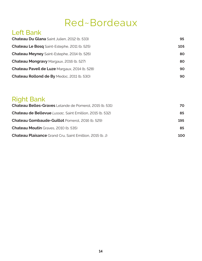## Red~Bordeaux

### Left Bank

| <b>Chateau Du Glana</b> Saint Julien, 2012 (b. 533)  | 95  |
|------------------------------------------------------|-----|
| <b>Chateau Le Bosq</b> Saint-Estephe, 2011 (b. 525)  | 105 |
| <b>Chateau Meyney</b> Saint-Estephe, 2014 (b. 526)   | 80  |
| <b>Chateau Mongravy Margaux, 2016 (b. 527)</b>       | 80  |
| <b>Chateau Paveil de Luze Margaux, 2014 (b. 528)</b> | 90  |
| <b>Chateau Rollond de By Medoc, 2011 (b. 530)</b>    | 90  |

## Right Bank

| <b>Chateau Belles-Graves</b> Lelande de Pomerol, 2015 (b. 531)   | 70. |
|------------------------------------------------------------------|-----|
| <b>Chateau de Bellevue</b> Lussac, Saint Emillion, 2015 (b. 532) | 85  |
| <b>Chateau Gombaude-Guillot Pomerol, 2016 (b. 529)</b>           | 195 |
| <b>Chateau Moutin</b> Graves, 2010 (b. 535)                      | 85  |
| <b>Chateau Plaisance</b> Grand Cru, Saint Emillion, 2015 (b. J)  | 100 |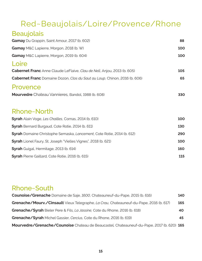## Red~Beaujolais/Loire/Provence/Rhone

### **Beaujolais**

| Gamay Du Grappin, Saint Amour, 2017 (b. 602)                                   | 88  |
|--------------------------------------------------------------------------------|-----|
| Gamay M&C Lapierre, Morgon, 2018 (b. W)                                        | 100 |
| Gamay M&C Lapierre, Morgon, 2019 (b. 604)                                      | 100 |
| Loire                                                                          |     |
| <b>Cabernet Franc</b> Anne Claude LeFlaive, Clau de Nell, Anjou, 2013 (b. 605) | 105 |
| Cabernet Franc Domaine Dozon, Clos du Saut au Loup, Chinon, 2016 (b. 606)      | 65  |
| Provence                                                                       |     |
| <b>Mourvedre</b> Chateau Vannieres, Bandol, 1988 (b. 608)                      | 330 |
|                                                                                |     |
| Rhone~North                                                                    |     |
| Syrah Alain Voge, Les Chailles, Cornas, 2014 (b. 610)                          | 100 |
| <b>Syrah</b> Bernard Burgaud, Cote Rotie, 2014 (b. 611)                        | 130 |
| <b>Syrah</b> Domaine Christophe Semaska, Lancement, Cote Rotie, 2014 (b. 612)  | 290 |
| <b>Syrah</b> Lionel Faury, St. Joseph "Vielles Vignes", 2018 (b. 621)          | 100 |
| Syrah Guigal, Hermitage, 2013 (b. 614)                                         | 160 |
| <b>Syrah</b> Pierre Gaillard, Cote Rotie, 2016 (b. 615)                        | 115 |

#### Rhone~South

| Counoise/Grenache Domaine de Saje, 1600, Chateauneuf-du-Pape, 2015 (b. 616)               |     |
|-------------------------------------------------------------------------------------------|-----|
| Grenache/Mourv./Cinsault Vieux Telegraphe, La Crau, Chateauneuf-du-Pape, 2016 (b. 617)    | 165 |
| Grenache/Syrah Bieler Pere & Fils, La Jassine, Cote du Rhone, 2016 (b. 618)               | 40. |
| Grenache/Syrah Michel Gassier, Cercius, Cote du Rhone, 2016 (b. 619)                      | 45  |
| Mourvedre/Grenache/Counoise Chateau de Beaucastel, Chateauneuf-du-Pape, 2017 (b. 620) 165 |     |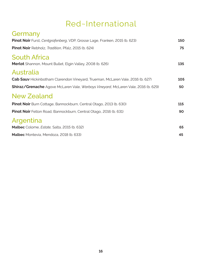## Red~International

| Germany                                                                                  |     |
|------------------------------------------------------------------------------------------|-----|
| Pinot Noir Furst, Centgrafenberg, VDP, Grosse Lage, Franken, 2015 (b. 623)               | 150 |
| <b>Pinot Noir</b> Rebholz, <i>Tradition</i> , Pfalz, 2015 (b. 624)                       | 75  |
| <b>South Africa</b><br>Merlot Shannon, Mount Bullet, Elgin Valley, 2008 (b. 626)         | 135 |
| Australia                                                                                |     |
| <b>Cab Sauv</b> Hickinbotham Clarendon Vineyard, Trueman, McLaren Vale, 2016 (b. 627)    | 105 |
| <b>Shiraz/Grenache</b> Agove McLaren Vale, Warboys Vineyard, McLaren Vale, 2016 (b. 629) | 50  |
| <b>New Zealand</b>                                                                       |     |
| Pinot Noir Burn Cottage, Bannockburn, Central Otago, 2013 (b. 630)                       | 115 |
| <b>Pinot Noir</b> Felton Road, Bannockburn, Central Otago, 2016 (b. 631)                 | 90  |
| Argentina                                                                                |     |
| Malbec Colome, <i>Estate</i> , Salta, 2015 (b. 632)                                      | 65  |
| Malbec Montevia, Mendoza, 2018 (b. 633)                                                  | 45  |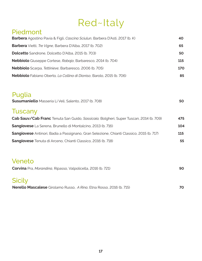## Red~Italy

#### Piedmont

| <b>Barbera</b> Agostino Pavia & Figli, Cascina Sciulun, Barbera D'Asti, 2017 (b. K) | 40  |
|-------------------------------------------------------------------------------------|-----|
| <b>Barbera</b> Vietti, Tre Vigne, Barbera D'Alba, 2017 (b. 702)                     | 65  |
| <b>Dolcetto</b> Sandrone, Dolcetto D'Alba, 2015 (b. 703)                            | 50  |
| <b>Nebbiolo</b> Giuseppe Cortese, Rabaja, Barbaresco, 2014 (b. 704)                 | 115 |
| Nebbiolo Scarpa, Tettinieve, Barbaresco, 2006 (b. 705)                              | 170 |
| Nebbiolo Fabiano Oberto, La Collina di Dioniso, Barolo, 2015 (b. 706)               | 85  |

### Puglia

| <b>Susumaniello</b> Masseria Li Veli, Salento, 2017 (b. 708) |  |  |
|--------------------------------------------------------------|--|--|
|--------------------------------------------------------------|--|--|

### **Tuscany**

| Cab Sauv/Cab Franc Tenuta San Guido, Sassicaia, Bolgheri, Super Tuscan, 2014 (b. 709)           | 475 |
|-------------------------------------------------------------------------------------------------|-----|
| <b>Sangiovese</b> La Serena, Brunello di Montalcino, 2013 (b. 716)                              | 104 |
| <b>Sangiovese</b> Antinori, Badia a Passignano, Gran Selezione, Chianti Classico, 2015 (b. 717) | 115 |
| Sangiovese Tenuta di Arceno, Chianti Classico, 2016 (b. 718)                                    | 55  |

### Veneto

| Corvina Pra, Morandina, Ripasso, Valpolicella, 2016 (b. 721) |  |
|--------------------------------------------------------------|--|
|                                                              |  |

## Sicily

**Nerello Mascalese** Girolamo Russo,*A Rina*, Etna Rosso, 2016 (b. 715) **70**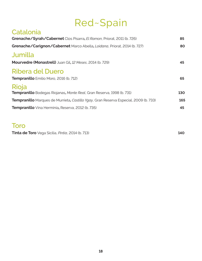# Red~Spain

| Catalonia                                                                                   |     |
|---------------------------------------------------------------------------------------------|-----|
| Grenache/Syrah/Cabernet Clos Pisarra, El Ramon, Priorat, 2011 (b. 726)                      | 85  |
| Grenache/Carignon/Cabernet Marco Abella, Loidana, Priorat, 2014 (b. 727)                    | 80  |
| Jumilla                                                                                     |     |
| Mourvedre (Monastrell) Juan Gil, 12 Meses, 2014 (b. 729)                                    | 45  |
| Ribera del Duero                                                                            |     |
| Tempranillo Emilio Moro, 2016 (b. 712)                                                      | 65  |
| Rioja                                                                                       |     |
| <b>Tempranillo</b> Bodegas Riojanas, Monte Real, Gran Reserva, 1998 (b. 731)                | 130 |
| <b>Tempranillo</b> Marques de Murrieta, Castillo Ygay, Gran Reserva Especial, 2009 (b. 733) | 165 |
| Tempranillo Vina Herminia, Reserva, 2012 (b. 735)                                           | 45  |
|                                                                                             |     |

#### Toro

**Tinta de Toro** Vega Sicilia, *Pintia*, 2014 (b. 713) **140**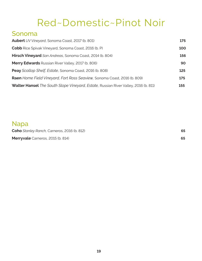## Red~Domestic~Pinot Noir

#### Sonoma

| <b>Aubert</b> UV Vineyard, Sonoma Coast, 2017 (b. 801)                                     | 175 |
|--------------------------------------------------------------------------------------------|-----|
| <b>Cobb</b> Rice Spivak Vineyard, Sonoma Coast, 2016 (b. P)                                | 100 |
| Hirsch Vineyard San Andreas, Sonoma Coast, 2014 (b. 804)                                   | 156 |
| <b>Merry Edwards</b> Russian River Valley, 2017 (b. 806)                                   | 90  |
| Peay Scallop Shelf, Estate, Sonoma Coast, 2016 (b. 808)                                    | 125 |
| Raen Home Field Vineyard, Fort Ross Seaview, Sonoma Coast, 2016 (b. 809)                   | 175 |
| <b>Walter Hansel</b> The South Slope Vineyard, Estate, Russian River Valley, 2016 (b. 811) | 155 |

#### Napa

**Coho** *Stanley Ranch,* Carneros, 2016 (b. 812) **65 Merryvale** Carneros, 2015 (b. 814) **65**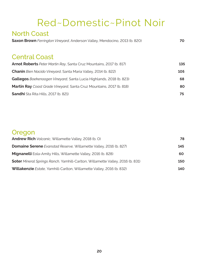## Red~Domestic~Pinot Noir

## North Coast **Saxon Brown** *Ferrington Vineyard*, Anderson Valley, Mendocino, 2013 (b. 820) **70** Central Coast **Arnot Roberts** *Peter Martin Ray*, Santa Cruz Mountains, 2017 (b. 817) **135 Chanin** *Bien Nacido Vineyard*, Santa Maria Valley, 2014 (b. 822) 105 **Gallegos** *Boekenoogen Vineyard*, Santa Lucia Highlands, 2018 (b. 823) **68 Martin Ray** *Coast Grade Vineyard*, Santa Cruz Mountains, 2017 (b. 818) **80 Sandhi** Sta Rita Hills, 2017 (b. 821) **75**

#### Oregon

| <b>Andrew Rich</b> Volcanic, Willamette Valley, 2018 (b. O)                           | 78  |
|---------------------------------------------------------------------------------------|-----|
| <b>Domaine Serene</b> Evanstad Reserve, Willamette Valley, 2016 (b. 827)              | 145 |
| <b>Mignanelli</b> Eola-Amity Hills, Willamette Valley, 2016 (b. 828)                  | 60  |
| <b>Soter</b> Mineral Springs Ranch, Yamhill-Carlton, Willamette Valley, 2016 (b. 831) | 150 |
| <b>Willakenzie</b> Estate, Yamhill-Carlton, Willamette Valley, 2016 (b. 832)          | 140 |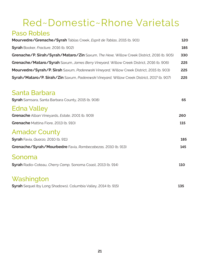# Red~Domestic~Rhone Varietals

### Paso Robles

| Mourvedre/Grenache/Syrah Tablas Creek, Esprit de Tablas, 2015 (b. 901)                     | 120 |
|--------------------------------------------------------------------------------------------|-----|
| Syrah Booker, Fracture, 2016 (b. 902)                                                      | 185 |
| Grenache/P. Sirah/Syrah/Mataro/Zin Saxum, The Hexe, Willow Creek District, 2016 (b. 905)   | 330 |
| Grenache/Mataro/Syrah Saxum, James Berry Vineyard, Willow Creek District, 2016 (b. 906)    | 225 |
| Mourvedre/Syrah/P. Sirah Saxum, Paderewski Vineyard, Willow Creek District, 2015 (b. 903)  | 225 |
| Syrah/Mataro/P. Sirah/Zin Saxum, Paderewski Vineyard, Willow Creek District, 2017 (b. 907) | 225 |

#### Santa Barbara

| Syrah Samsara, Santa Barbara County, 2015 (b. 908)             | 65         |
|----------------------------------------------------------------|------------|
| <b>Edna Valley</b>                                             |            |
| Grenache Alban Vineyards, Estate, 2001 (b. 909)                | 260        |
| Grenache Mattina Fiore, 2013 (b. 910)                          | 115        |
| <b>Amador County</b>                                           |            |
| Syrah Favia, Quarzo, 2010 (b. 911)                             | 185        |
| Grenache/Syrah/Mourbedre Favia, Rombecabezas, 2010 (b. 913)    | 145        |
| Sonoma                                                         |            |
| Syrah Radio-Coteau, Cherry Camp, Sonoma Coast, 2013 (b. 914)   | <b>110</b> |
| Washington                                                     |            |
| Syrah Sequel (by Long Shadows), Columbia Valley, 2014 (b. 915) | 135        |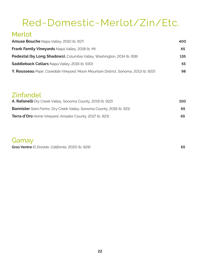# Red~Domestic~Merlot/Zin/Etc.

### Merlot

| <b>Amuse Bouche</b> Napa Valley, 2010 (b. 917)                                     | 400 |
|------------------------------------------------------------------------------------|-----|
| <b>Frank Family Vineyards Napa Valley, 2018 (b. M)</b>                             | 65  |
| Pedestal (by Long Shadows), Columbia Valley, Washington, 2014 (b. 918)             | 135 |
| Saddleback Cellars Napa Valley, 2016 (b. 930)                                      | 55  |
| Y. Rousseau Pepe, Cavedale Vineyard, Moon Mountain District, Sonoma, 2013 (b. 920) | 98  |

#### Zinfandel

| A. Rafanelli Dry Creek Valley, Sonoma County, 2019 (b. 922)                  | 100 |
|------------------------------------------------------------------------------|-----|
| <b>Bannister</b> Saini Farms, Dry Creek Valley, Sonoma County, 2016 (b. 921) | 65  |
| <b>Terra d'Oro</b> Home Vineyard, Amador County, 2017 (b. 923)               | 65  |

#### Gamay

**Gros Ventre** *El Dorado, California*, 2020 (b. 929) **65**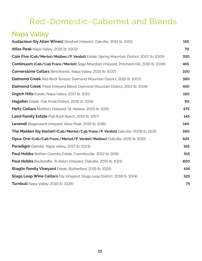## Red~Domestic~Cabernet and Blends

## Napa Valley

| Audacieux (by Allen Wines) Stanford Vineyard, Oakville, 2014 (b. 1001)                   | 165 |
|------------------------------------------------------------------------------------------|-----|
| <b>Atlas Peak</b> Napa Valley, 2016 (b. 1003)                                            | 70  |
| Cain Five (Cab/Merlot/Malbec/P. Verdot) Estate, Spring Mountain District, 2007 (b. 1005) | 330 |
| Continuum (Cab/Cab Franc/Merlot) Sage Mountain Vineyard, Pritchard Hill, 2016 (b. 1006)  | 465 |
| <b>Cornerstone Cellars</b> Benchlands, Napa Valley, 2015 (b. 1037)                       | 100 |
| <b>Daimond Creek</b> Red Rock Terrace, Daimond Mountain District, 2015 (b. 1007)         | 390 |
| Daimond Creek Three Vineyard Blend, Daimond Mountain District, 2013 (b. 1009)            | 450 |
| Grgich Hills Estate, Napa Valley, 2017 (b. 1011)                                         | 150 |
| Hagafen Estate, Oak Knoll District, 2016 (b. 1014)                                       | 90  |
| Heitz Cellars Martha's Vineyard, St. Helena, 2013 (b. 1015)                              | 475 |
| Laird Family Estate Flat Rock Ranch, 2014 (b. 1017)                                      | 145 |
| Levendi Stagecoach Vineyard, Atlas Peak, 2016 (b. 1018)                                  | 140 |
| The Maiden (by Harlan) (Cab/Merlot/Cab Franc/P. Verdot) Oakville, 2008 (b. 1105)         | 590 |
| Opus One (Cab/Cab Franc/Merlot/P. Verdot/Malbec) Oakville, 2015 (b. 1019)                | 625 |
| <b>Paradigm</b> Oakville, Napa Valley, 2017 (b. 1023)                                    | 165 |
| Paul Hobbs Nathan Coombs Estate, Coombsville, 2012 (b. 1106)                             | 515 |
| Paul Hobbs Beckstoffer, To Kalon Vineyard, Oakville, 2015 (b. 1021)                      | 800 |
| <b>Staglin Family Vineyard</b> Estate, Rutherford, 2015 (b. 1025)                        | 435 |
| <b>Stags Leap Wine Cellars</b> Fay Vineyard, Stags Leap District, 2018 (b. 1024)         | 325 |
| Turnbull Napa Valley, 2019 (b. 1026)                                                     | 75  |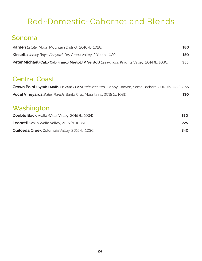## Red~Domestic~Cabernet and Blends

### Sonoma

| <b>Kamen</b> Estate, Moon Mountain District, 2016 (b. 1028)                                      | 180        |
|--------------------------------------------------------------------------------------------------|------------|
| <b>Kinsella</b> Jersey Boys Vineyard, Dry Creek Valley, 2014 (b. 1029)                           | <b>150</b> |
| <b>Peter Michael (Cab/Cab Franc/Merlot/P. Verdot)</b> Les Pavots, Knights Valley, 2014 (b. 1030) | 355        |

#### Central Coast

| Crown Point (Syrah/Malb./P.Verd/Cab) Relevant Red, Happy Canyon, Santa Barbara, 2013 (b.1032) 265 |     |
|---------------------------------------------------------------------------------------------------|-----|
| <b>Vocal Vineyards</b> Bates Ranch, Santa Cruz Mountains, 2015 (b. 1031)                          | 130 |

### Washington

| <b>Double Back</b> Walla Walla Valley, 2015 (b. 1034) | 180 |
|-------------------------------------------------------|-----|
| <b>Leonetti</b> Walla Walla Valley, 2015 (b. 1035)    | 225 |
| <b>Quilceda Creek</b> Columbia Valley, 2015 (b. 1036) | 340 |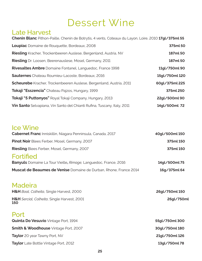## Dessert Wine

### Late Harvest

| Chenin Blanc Pithon-Paille, Chenin de Botrytis, 4 vents, Coteaux du Layon, Loire, 2010 17gl/375ml 55 |                |
|------------------------------------------------------------------------------------------------------|----------------|
| Loupiac Domaine de Rouquette, Bordeaux, 2008                                                         | 375ml 50       |
| <b>Riesling</b> Kracher, Trockenbeeren Auslese, Bergenland, Austria, NV                              | 187ml 50       |
| <b>Riesling</b> Dr. Loosen, Beerenauslese, Mosel, Germany, 2011                                      | 187ml 50       |
| <b>Rivesaltes Ambre</b> Domaine Fontanel, Languedoc, France 1998                                     | 11gl/750ml 90  |
| <b>Sauternes</b> Chateau Roumieu-Lacoste, Bordeaux, 2016                                             | 15gl/750ml 120 |
| <b>Scheurebe</b> Kracher, Trockenbeeren Auslese, Bergenland, Austria, 2011                           | 60ql/375ml 225 |
| Tokaji "Esszencia" Chateau Pajzos, Hungary, 1999                                                     | 375ml 250      |
| Tokaji "5 Puttonyos" Royal Tokaji Company, Hungary, 2013                                             | 22gl/500ml90   |
| <b>Vin Santo</b> Selvapiana, Vin Santo del Chianti Rufina, Tuscany, Italy, 2011                      | 14gl/500ml 72  |

### Ice Wine

| <b>Cabernet Franc</b> Inniskillin, Niagara Penninsula, Canada, 2017     | 40gl/500ml 150 |
|-------------------------------------------------------------------------|----------------|
| Pinot Noir Blees Ferber, Mosel, Germany, 2007                           | 375ml 150      |
| <b>Riesling</b> Blees Ferber, Mosel, Germany, 2007                      | 375ml 150      |
| <b>Fortified</b>                                                        |                |
| <b>Banyuls</b> Domaine La Tour Vieille, Rimage, Languedoc, France, 2016 | 14gl/500ml 75  |
| Muscat de Beaumes de Venise Domaine de Durban, Rhone, France 2014       | 16g/375ml 64   |

#### **Madeira**

| H&H Boal, Colheita, Single Harvest, 2000                  | 26gl/750ml 150 |
|-----------------------------------------------------------|----------------|
| H&H Sercial, Colheita, Single Harvest, 2001<br><b>150</b> | 26gl/750ml     |
| Port<br>Quinta Do Vesuvio Vintage Port, 1994              | 55gl/750ml 300 |
| <b>Smith &amp; Woodhouse</b> Vintage Port, 2007           | 30gl/750ml 180 |
| <b>Taylor</b> 20 year Tawny Port, NV                      | 21gl/750ml 126 |

**Taylor** Late Bottle Vintage Port, 2012 **13gl/750ml 78**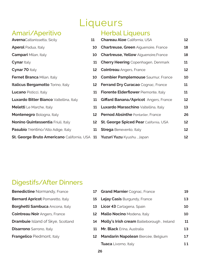# Liqueurs

### Amari/Aperitivo

| <b>Averna</b> Caltanissetta, Sicily                  | 11 |
|------------------------------------------------------|----|
| <b>Aperol</b> Padua, Italy                           | 10 |
| <b>Campari</b> Milan, Italy                          | 10 |
| <b>Cynar</b> Italy                                   | 11 |
| <b>Cynar 70 Italy</b>                                | 12 |
| <b>Fernet Branca Milan, Italy</b>                    | 10 |
| <b>Italicus Bergamotto</b> Torino, Italy             | 12 |
| <b>Lucano</b> Pisticci, Italy                        | 11 |
| <b>Luxardo Bitter Bianco</b> Valtellina, Italy       | 11 |
| <b>Meletti</b> Le Marche, Italy                      | 11 |
| Montenegro Bologna, Italy                            | 12 |
| Nonino Quintessentia Friuli, Italy                   | 12 |
| Pasubio Trentino/Alto Adige, Italy                   | 11 |
| <b>St. George Bruto Americano California, USA 11</b> |    |

### Herbal Liqueurs

| L  | <b>Chareau Aloe</b> California, USA           | 12 |
|----|-----------------------------------------------|----|
| LO | <b>Chartreuse, Green Aiguenoire, France</b>   | 18 |
| LO | <b>Chartreuse, Yellow Aiguenoire, France</b>  | 18 |
| 11 | <b>Cherry Heering Copenhagen, Denmark</b>     | 11 |
| 12 | <b>Cointreau</b> Angers, France               | 12 |
| LO | <b>Combier Pamplemouse</b> Saumur, France     | 10 |
| 12 | Ferrand Dry Curacao Cognac, France            | 11 |
| 11 | Fiorente Elderflower Piemonte, Italy          | 11 |
| 11 | <b>Giffard Banana/Apricot</b> Angers, France  | 12 |
| 11 | <b>Luxardo Maraschino</b> Valtellina, Italy   | 13 |
| 12 | <b>Pernod Absinthe Pontarlier, France</b>     | 26 |
| 12 | <b>St. George Spiced Pear California, USA</b> | 12 |
| 11 | <b>Strega</b> Benevento, Italy                | 12 |
| 11 | Yuzuri Yuzu Kyushu, Japan                     | 12 |

### Digestifs/After Dinners

| <b>Benedictine</b> Normandy, France      | 17 | <b>Grand Marnier Cognac, France</b>        | 19 |
|------------------------------------------|----|--------------------------------------------|----|
| <b>Bernard Apricot Pomaretto, Italy</b>  |    | 15 Lejay Casis Burgundy, France            | 13 |
| Borghetti Sambuca Ancona, Italy          |    | 13 Licor 43 Cartagena, Spain               | 10 |
| <b>Cointreau Noir</b> Angers, France     | 12 | <b>Mallo Nocino</b> Modena, Italy          | 10 |
| <b>Drambuie</b> Island of Skye, Scotland | 14 | Molly's Irish cream Bailieborough, Ireland | 11 |
| <b>Disarrono</b> Sarrono, Italy          | 11 | Mr. Black Erina, Australia                 | 13 |
| <b>Frangelico</b> Piedmont, Italy        | 12 | Mandarin Napolean Biercée, Belgium         | 17 |
|                                          |    | <b>Tuaca</b> Livorno, Italy                | 11 |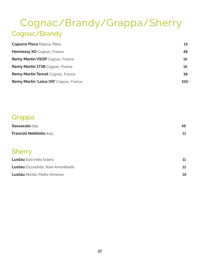## Cognac/Brandy/Grappa/Sherry Cognac/Brandy

| <b>Capurro Pisco Nasca, Peru</b>               | 15  |
|------------------------------------------------|-----|
| Hennessy XO Cognac, France                     | 48  |
| <b>Remy Martin VSOP</b> Cognac, France         | 16  |
| <b>Remy Martin 1738</b> Cognac, France         | 16  |
| <b>Remy Martin Tercet Cognac, France</b>       | 38  |
| <b>Remy Martin 'Loius XIII' Cognac, France</b> | 330 |

#### Grappa

| <b>Sassacaia Italy</b>  |  |
|-------------------------|--|
| Francoli Nebbiolo Italy |  |

### **Sherry**

| <b>Lustau</b> East India Solera             | 11 |
|---------------------------------------------|----|
| <b>Lustau</b> Escuadrilla, Rare Amontillado | 11 |
| <b>Lustau</b> Murillo, Pedro Ximenez        | 16 |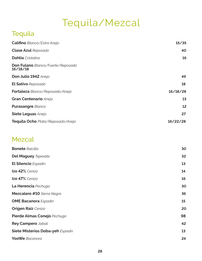# Tequila/Mezcal

## **Tequila**

| <b>Califino</b> Blanco/Extra Anejo                   | 15/35    |
|------------------------------------------------------|----------|
| <b>Clase Azul Reposado</b>                           | 40       |
| <b>Dahlia</b> Cristalino                             | 16       |
| <b>Don Fulano</b> Blanco/Fuerte/Reposado<br>16/18/18 |          |
| Don Julio 1942 Anejo                                 | 49       |
| <b>El Sativo</b> Reposado                            | 18       |
| Fortaleza Blanco/Reposado/Anejo                      | 16/18/28 |
| Gran Centenario Anejo                                | 13       |
| <b>Purasangre Blanco</b>                             | 12       |
| Siete Leguas Anejo                                   | 27       |
| Tequila Ocho Plata/Reposado/Anejo                    | 16/22/28 |

### Mezcal

| <b>Bonete</b> Raicilla           | 30 |
|----------------------------------|----|
| <b>Del Maguey Tepexate</b>       | 32 |
| <b>El Silencio</b> Espadin       | 13 |
| Izo 42% Cenizo                   | 14 |
| Izo 47% Cenizo                   | 16 |
| La Herencia Pechuga              | 30 |
| Mezcalero #10 Sierra Negra       | 36 |
| <b>OME Bacanora</b> Espadin      | 15 |
| <b>Origen Raiz</b> Cenizo        | 20 |
| Pierde Almas Conejo Pechuga      | 98 |
| Rey Campero Jabali               | 42 |
| Siete Misterios Doba-yeh Espadin | 13 |
| <b>YooWe</b> Bacanora            | 24 |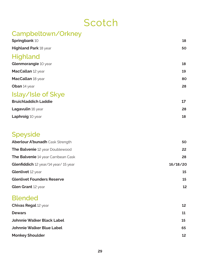## **Scotch**

### Campbeltown/Orkney **Springbank** 10 **18 Highland Park** 18 year **50 Highland Glenmorangie** 10 year **18 MacCallan** 12 year **19 MacCallan** 18 year **80 Oban** 14 year **28** Islay/Isle of Skye **Bruichladdich Laddie 17 Lagavulin** 16 year **28 Laphroig** 10 year **18 Speyside Aberlour A'bunadh** Cask Strength **50 The Balvenie** 12 year Doublewood **22 The Balvenie** 14 year Carribean Cask **28 Glenfiddich** 12 year/14 year/ 15 year **16/18/20 Glenlivet** 12 year **15 Glenlivet Founders Reserve 15 Glen Grant** 12 year **12** Blended **Chivas Regal 12 year <b>12 Dewars 11 Johnnie Walker Black Label 15 Johnnie Walker Blue Label 65 Monkey Shoulder 12**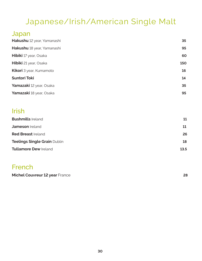## Japanese/Irish/American Single Malt

#### Japan

| Hakushu 12 year, Yamanashi     | 35  |
|--------------------------------|-----|
| Hakushu 18 year, Yamanashi     | 95  |
| <b>Hibiki</b> 17 year, Osaka   | 60  |
| <b>Hibiki</b> 21 year, Osaka   | 150 |
| <b>Kikori</b> 3 year, Kumamoto | 16  |
| <b>Suntori Toki</b>            | 14  |
| Yamazaki 12 year, Osaka        | 35  |
| Yamazaki 18 year, Osaka        | 95  |

#### Irish

| <b>Bushmills Ireland</b>            | 11   |
|-------------------------------------|------|
| <b>Jameson</b> Ireland              | 11   |
| <b>Red Breast Ireland</b>           | 26   |
| <b>Teelings Single Grain Dublin</b> | 18   |
| <b>Tullamore Dew Ireland</b>        | 13.5 |

### French

**Michel Couvreur 12 year** France **28**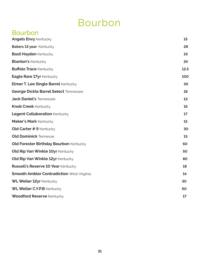## Bourbon

## Bourbon

| <b>Angels Envy Kentucky</b>                      | 15   |
|--------------------------------------------------|------|
| Bakers 13 year Kentucky                          | 28   |
| <b>Basil Hayden Kentucky</b>                     | 19   |
| <b>Blanton's Kentucky</b>                        | 24   |
| <b>Buffalo Trace Kentucky</b>                    | 12.5 |
| Eagle Rare 17yr Kentucky                         | 100  |
| <b>Elmer T. Lee Single Barrel Kentucky</b>       | 30   |
| George Dickle Barrel Select Tennessee            | 18   |
| <b>Jack Daniel's Tennessee</b>                   | 12   |
| <b>Knob Creek Kentucky</b>                       | 16   |
| <b>Legent Collaboration Kentucky</b>             | 17   |
| <b>Maker's Mark Kentucky</b>                     | 15   |
| <b>Old Carter #9 Kentucky</b>                    | 30   |
| <b>Old Dominick Tennesse</b>                     | 15   |
| <b>Old Forester Birthday Bourbon Kentucky</b>    | 60   |
| Old Rip Van Winkle 10yr Kentucky                 | 50   |
| Old Rip Van Winkle 12yr Kentucky                 | 80   |
| <b>Russell's Reserve 10 Year Kentucky</b>        | 18   |
| <b>Smooth Ambler Contradiction West Virginia</b> | 14   |
| WL Weller 12yr Kentucky                          | 30   |
| WL Weller C.Y.P.B Kentucky                       | 60   |
| <b>Woodford Reserve Kentucky</b>                 | 17   |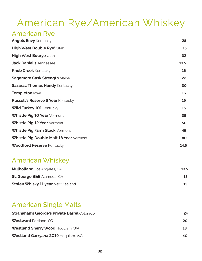# American Rye/American Whiskey

### American Rye

| <b>Angels Envy Kentucky</b>              | 28   |
|------------------------------------------|------|
| High West Double Rye! Utah               | 15   |
| High West Bourye Utah                    | 32   |
| <b>Jack Daniel's Tennessee</b>           | 13.5 |
| <b>Knob Creek Kentucky</b>               | 16   |
| <b>Sagamore Cask Strength Maine</b>      | 22   |
| <b>Sazarac Thomas Handy Kentucky</b>     | 30   |
| Templeton lowa                           | 16   |
| <b>Russell's Reserve 6 Year Kentucky</b> | 19   |
| <b>Wild Turkey 101 Kentucky</b>          | 15   |
| Whistle Pig 10 Year Vermont              | 38   |
| Whistle Pig 12 Year Vermont              | 50   |
| Whistle Pig Farm Stock Vermont           | 45   |
| Whistle Pig Double Malt 18 Year Vermont  | 80   |
| <b>Woodford Reserve Kentucky</b>         | 14.5 |

### American Whiskey

| <b>Mulholland</b> Los Angeles, CA        | 13.5 |
|------------------------------------------|------|
| <b>St. George B&amp;E</b> Alameda, CA    |      |
| <b>Stolen Whisky 11 year New Zealand</b> |      |

### American Single Malts

| <b>Stranahan's George's Private Barrel Colorado</b> | 24  |
|-----------------------------------------------------|-----|
| <b>Westward Portland, OR</b>                        | 20  |
| Westland Sherry Wood Hoquiam, WA                    | 18  |
| Westland Garryana 2019 Hoquiam, WA                  | 40. |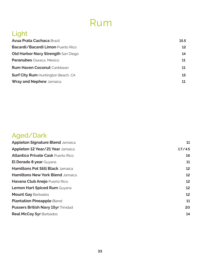## Rum

## Light

| <b>Avua Prata Cachaca Brazil</b>          | 15.5            |
|-------------------------------------------|-----------------|
| Bacardi/Bacardi Limon Puerto Rico         | 12 <sup>°</sup> |
| <b>Old Harbor Navy Strength San Diego</b> | 14              |
| <b>Paranubes</b> Oaxaca, Mexico           | 11              |
| <b>Rum Haven Coconut Caribbean</b>        | 11              |
| <b>Surf City Rum Huntington Beach, CA</b> | 15              |
| <b>Wray and Nephew Jamaica</b>            |                 |

## Aged/Dark

| <b>Appleton Signature Blend Jamaica</b>   | 11    |
|-------------------------------------------|-------|
| Appleton 12 Year/21 Year Jamaica          | 17/45 |
| <b>Atlantico Private Cask Puerto Rico</b> | 16    |
| El Dorado 8 year Guyana                   | 11    |
| Hamiltons Pot Still Black Jamaica         | 12    |
| Hamiltons New York Blend Jamaica          | 12    |
| Havana Club Anejo Puerto Rico             | 12    |
| Lemon Hart Spiced Rum Guyana              | 12    |
| <b>Mount Gay Barbados</b>                 | 12    |
| <b>Plantation Pineapple Blend</b>         | 11    |
| <b>Pussers British Navy 15yr Trinidad</b> | 20    |
| <b>Real McCoy 5yr Barbados</b>            | 14    |